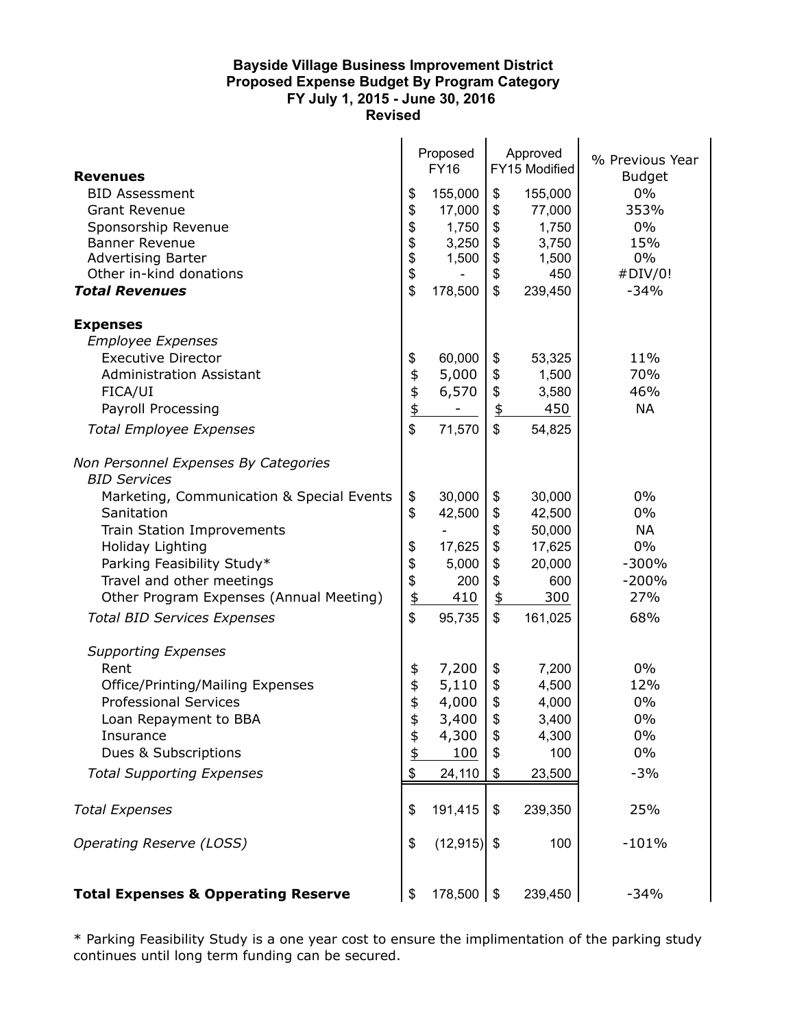## **Bayside Village Business Improvement District Proposed Expense Budget By Program Category FY July 1, 2015 - June 30, 2016 Revised**

| <b>Revenues</b><br><b>BID Assessment</b><br><b>Grant Revenue</b><br>Sponsorship Revenue<br><b>Banner Revenue</b><br><b>Advertising Barter</b><br>Other in-kind donations<br><b>Total Revenues</b>                                                     | \$<br>\$<br>\$<br>\$<br>\$<br>\$<br>\$            | Proposed<br><b>FY16</b><br>155,000<br>17,000<br>1,750<br>3,250<br>1,500<br>178,500 | \$<br>\$<br>\$<br>\$<br>\$<br>\$<br>\$                              | Approved<br>FY15 Modified<br>155,000<br>77,000<br>1,750<br>3,750<br>1,500<br>450<br>239,450 | % Previous Year<br><b>Budget</b><br>0%<br>353%<br>0%<br>15%<br>0%<br>#DIV/0!<br>$-34%$ |
|-------------------------------------------------------------------------------------------------------------------------------------------------------------------------------------------------------------------------------------------------------|---------------------------------------------------|------------------------------------------------------------------------------------|---------------------------------------------------------------------|---------------------------------------------------------------------------------------------|----------------------------------------------------------------------------------------|
| <b>Expenses</b><br><b>Employee Expenses</b>                                                                                                                                                                                                           |                                                   |                                                                                    |                                                                     |                                                                                             |                                                                                        |
| <b>Executive Director</b><br><b>Administration Assistant</b><br>FICA/UI<br>Payroll Processing<br><b>Total Employee Expenses</b>                                                                                                                       | \$<br>\$<br>$\frac{4}{9}$<br>\$                   | 60,000<br>5,000<br>6,570<br>71,570                                                 | \$<br>\$<br>\$<br>$\frac{1}{2}$<br>\$                               | 53,325<br>1,500<br>3,580<br>450<br>54,825                                                   | 11%<br>70%<br>46%<br><b>NA</b>                                                         |
| Non Personnel Expenses By Categories<br><b>BID Services</b>                                                                                                                                                                                           |                                                   |                                                                                    |                                                                     |                                                                                             |                                                                                        |
| Marketing, Communication & Special Events<br>Sanitation<br>Train Station Improvements<br>Holiday Lighting<br>Parking Feasibility Study*<br>Travel and other meetings<br>Other Program Expenses (Annual Meeting)<br><b>Total BID Services Expenses</b> | \$<br>\$<br>\$<br>\$<br>\$<br>$\frac{1}{2}$<br>\$ | 30,000<br>42,500<br>17,625<br>5,000<br>200<br>410<br>95,735                        | \$<br>\$<br>\$<br>\$<br>\$<br>\$<br>$\overline{\mathfrak{p}}$<br>\$ | 30,000<br>42,500<br>50,000<br>17,625<br>20,000<br>600<br>300<br>161,025                     | 0%<br>0%<br><b>NA</b><br>0%<br>$-300%$<br>$-200%$<br>27%<br>68%                        |
| <b>Supporting Expenses</b><br>Rent                                                                                                                                                                                                                    |                                                   | 7,200                                                                              | \$                                                                  | 7,200                                                                                       | 0%                                                                                     |
| Office/Printing/Mailing Expenses<br><b>Professional Services</b><br>Loan Repayment to BBA<br>Insurance<br>Dues & Subscriptions                                                                                                                        | \$<br>\$\$<br>\$<br>\$<br>\$                      | 5,110<br>4,000<br>3,400<br>4,300<br>100                                            | \$<br>\$<br>\$<br>\$<br>\$                                          | 4,500<br>4,000<br>3,400<br>4,300<br>100                                                     | 12%<br>0%<br>0%<br>0%<br>$0\%$                                                         |
| <b>Total Supporting Expenses</b>                                                                                                                                                                                                                      | \$                                                | 24,110                                                                             | \$                                                                  | 23,500                                                                                      | $-3%$                                                                                  |
| <b>Total Expenses</b>                                                                                                                                                                                                                                 | \$                                                | 191,415                                                                            | \$                                                                  | 239,350                                                                                     | 25%                                                                                    |
| <b>Operating Reserve (LOSS)</b>                                                                                                                                                                                                                       | \$                                                | (12, 915)                                                                          | \$                                                                  | 100                                                                                         | $-101%$                                                                                |
| <b>Total Expenses &amp; Opperating Reserve</b>                                                                                                                                                                                                        | \$                                                | 178,500                                                                            | $\sqrt[6]{\frac{1}{2}}$                                             | 239,450                                                                                     | $-34%$                                                                                 |

\* Parking Feasibility Study is a one year cost to ensure the implimentation of the parking study continues until long term funding can be secured.